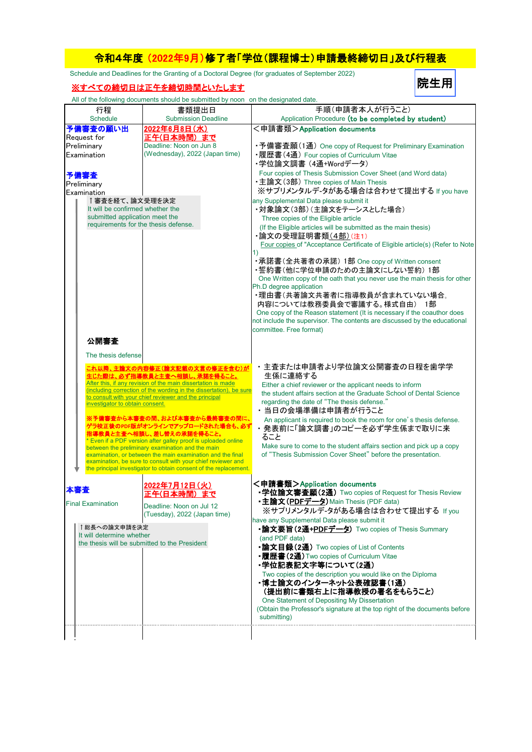## 令和4年度 (2022年9月)修了者「学位(課程博士)申請最終締切日」及び行程表

Schedule and Deadlines for the Granting of a Doctoral Degree (for graduates of September 2022)

## ※すべての締切日は正午を締切時間といたします

All of the following documents should be submitted by noon on the designated date.

|                                      | The change religiously about the strough be subtimited by Hooff off the acsignated date.                                         |                                                                                                                                  |  |
|--------------------------------------|----------------------------------------------------------------------------------------------------------------------------------|----------------------------------------------------------------------------------------------------------------------------------|--|
| 行程<br>Schedule                       | 書類提出日<br><b>Submission Deadline</b>                                                                                              | 手順(申請者本人が行うこと)<br>Application Procedure (to be completed by student)                                                             |  |
| 予備審査の願い出                             | 2022年6月8日(水)                                                                                                                     | <申請書類>Application documents                                                                                                      |  |
| Request for                          | 正午(日本時間)まで                                                                                                                       |                                                                                                                                  |  |
| Preliminary                          | Deadline: Noon on Jun 8                                                                                                          | •予備審査願(1通) One copy of Request for Preliminary Examination                                                                       |  |
| Examination                          | (Wednesday), 2022 (Japan time)                                                                                                   | •履歴書(4通) Four copies of Curriculum Vitae                                                                                         |  |
|                                      |                                                                                                                                  | ・学位論文調書 (4通+Wordデータ)                                                                                                             |  |
| 予備審査                                 |                                                                                                                                  | Four copies of Thesis Submission Cover Sheet (and Word data)                                                                     |  |
| Preliminary                          |                                                                                                                                  | •主論文(3部) Three copies of Main Thesis                                                                                             |  |
| Examination                          |                                                                                                                                  | ※サプリメンタルデ-タがある場合は合わせて提出する If you have                                                                                            |  |
| ↑審査を経て、論文受理を決定                       |                                                                                                                                  | any Supplemental Data please submit it                                                                                           |  |
| It will be confirmed whether the     |                                                                                                                                  | ・対象論文(3部)(主論文をテーシスとした場合)                                                                                                         |  |
| submitted application meet the       |                                                                                                                                  | Three copies of the Eligible article                                                                                             |  |
| requirements for the thesis defense. |                                                                                                                                  | (If the Eligible articles will be submitted as the main thesis)                                                                  |  |
|                                      |                                                                                                                                  | ・論文の受理証明書類 <u>(4部)(注</u> 1)                                                                                                      |  |
|                                      |                                                                                                                                  | Four copies of "Acceptance Certificate of Eligible article(s) (Refer to Note                                                     |  |
|                                      |                                                                                                                                  | 1)                                                                                                                               |  |
|                                      |                                                                                                                                  | ・承諾書(全共著者の承諾) 1部 One copy of Written consent                                                                                     |  |
|                                      |                                                                                                                                  | ・誓約書(他に学位申請のための主論文にしない誓約) 1部                                                                                                     |  |
|                                      |                                                                                                                                  | One Written copy of the oath that you never use the main thesis for other<br>Ph.D degree application                             |  |
|                                      |                                                                                                                                  | ・理由書(共著論文共著者に指導教員が含まれていない場合。                                                                                                     |  |
|                                      |                                                                                                                                  | 内容については教務委員会で審議する。様式自由) 1部                                                                                                       |  |
|                                      |                                                                                                                                  | One copy of the Reason statement (It is necessary if the coauthor does                                                           |  |
|                                      |                                                                                                                                  | not include the supervisor. The contents are discussed by the educational                                                        |  |
|                                      |                                                                                                                                  | committee. Free format)                                                                                                          |  |
| 公開審査                                 |                                                                                                                                  |                                                                                                                                  |  |
|                                      |                                                                                                                                  |                                                                                                                                  |  |
| The thesis defense                   |                                                                                                                                  |                                                                                                                                  |  |
|                                      | これ以降、主論文の内容修正(論文記載の文言の修正を含む)が                                                                                                    | ・主査または申請者より学位論文公開審査の日程を歯学学                                                                                                       |  |
|                                      | 生じた際は、必ず指導教員と主査へ相談し、承諾を得ること。<br>After this, if any revision of the main dissertation is made                                     | 生係に連絡する                                                                                                                          |  |
|                                      | (including correction of the wording in the dissertation), be sure                                                               | Either a chief reviewer or the applicant needs to inform<br>the student affairs section at the Graduate School of Dental Science |  |
| investigator to obtain consent.      | to consult with your chief reviewer and the principal                                                                            | regarding the date of "The thesis defense."                                                                                      |  |
|                                      |                                                                                                                                  | ・当日の会場準備は申請者が行うこと                                                                                                                |  |
|                                      | ※予備審査から本審査の間、および本審査から最終審査の間に、                                                                                                    | An applicant is required to book the room for one's thesis defense.                                                              |  |
|                                      | ゲラ校正後のPDF版がオンラインでアップロードされた場合も、必す                                                                                                 | ・発表前に「論文調書」のコピーを必ず学生係まで取りに来                                                                                                      |  |
|                                      | <mark>&amp;員と主査へ相談し、差し替えの承諾を得ること</mark><br>* Even if a PDF version after galley proof is uploaded online                         | ること                                                                                                                              |  |
|                                      | between the preliminary examination and the main                                                                                 | Make sure to come to the student affairs section and pick up a copy                                                              |  |
|                                      | examination, or between the main examination and the final                                                                       | of "Thesis Submission Cover Sheet" before the presentation.                                                                      |  |
|                                      | examination, be sure to consult with your chief reviewer and<br>the principal investigator to obtain consent of the replacement. |                                                                                                                                  |  |
|                                      |                                                                                                                                  |                                                                                                                                  |  |
| 本審査                                  | <u>2022年7月12日(火)</u>                                                                                                             | <申請書類>Application documents                                                                                                      |  |
|                                      | 正午(日本時間) まで                                                                                                                      | •学位論文審査願(2通) Two copies of Request for Thesis Review                                                                             |  |
| <b>Final Examination</b>             | Deadline: Noon on Jul 12                                                                                                         | •主論文(PDFデータ) Main Thesis (PDF data)                                                                                              |  |
|                                      | (Tuesday), 2022 (Japan time)                                                                                                     | ※サプリメンタルデ-タがある場合は合わせて提出する If you                                                                                                 |  |
| ↑総長への論文申請を決定                         |                                                                                                                                  | have any Supplemental Data please submit it                                                                                      |  |
| It will determine whether            |                                                                                                                                  | •論文要旨(2通+PDFデータ) Two copies of Thesis Summary                                                                                    |  |
|                                      | the thesis will be submitted to the President                                                                                    | (and PDF data)<br>•論文目録(2通) Two copies of List of Contents                                                                       |  |
|                                      |                                                                                                                                  | •履歴書(2通) Two copies of Curriculum Vitae                                                                                          |  |
|                                      |                                                                                                                                  | ・学位記表記文字等について(2通)                                                                                                                |  |
|                                      |                                                                                                                                  | Two copies of the description you would like on the Diploma                                                                      |  |
|                                      |                                                                                                                                  | ・博士論文のインターネット公表確認書(1通)                                                                                                           |  |
|                                      |                                                                                                                                  | (提出前に書類右上に指導教授の署名をもらうこと)                                                                                                         |  |
|                                      |                                                                                                                                  | One Statement of Depositing My Dissertation                                                                                      |  |
|                                      |                                                                                                                                  | (Obtain the Professor's signature at the top right of the documents before                                                       |  |
|                                      |                                                                                                                                  | submitting)                                                                                                                      |  |
|                                      |                                                                                                                                  |                                                                                                                                  |  |
|                                      |                                                                                                                                  |                                                                                                                                  |  |

院生用